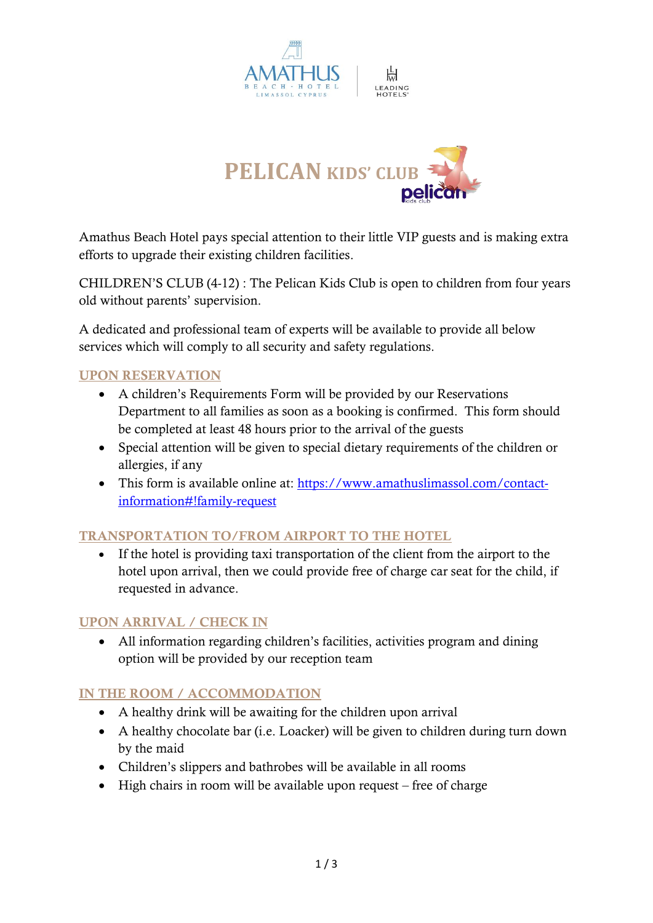



Amathus Beach Hotel pays special attention to their little VIP guests and is making extra efforts to upgrade their existing children facilities.

CHILDREN'S CLUB (4-12) : The Pelican Kids Club is open to children from four years old without parents' supervision.

A dedicated and professional team of experts will be available to provide all below services which will comply to all security and safety regulations.

# UPON RESERVATION

- A children's Requirements Form will be provided by our Reservations Department to all families as soon as a booking is confirmed. This form should be completed at least 48 hours prior to the arrival of the guests
- Special attention will be given to special dietary requirements of the children or allergies, if any
- This form is available online at: [https://www.amathuslimassol.com/contact](https://www.amathuslimassol.com/contact-information#!family-request)[information#!family-request](https://www.amathuslimassol.com/contact-information#!family-request)

# TRANSPORTATION TO/FROM AIRPORT TO THE HOTEL

• If the hotel is providing taxi transportation of the client from the airport to the hotel upon arrival, then we could provide free of charge car seat for the child, if requested in advance.

# UPON ARRIVAL / CHECK IN

• All information regarding children's facilities, activities program and dining option will be provided by our reception team

# IN THE ROOM / ACCOMMODATION

- A healthy drink will be awaiting for the children upon arrival
- A healthy chocolate bar (i.e. Loacker) will be given to children during turn down by the maid
- Children's slippers and bathrobes will be available in all rooms
- High chairs in room will be available upon request free of charge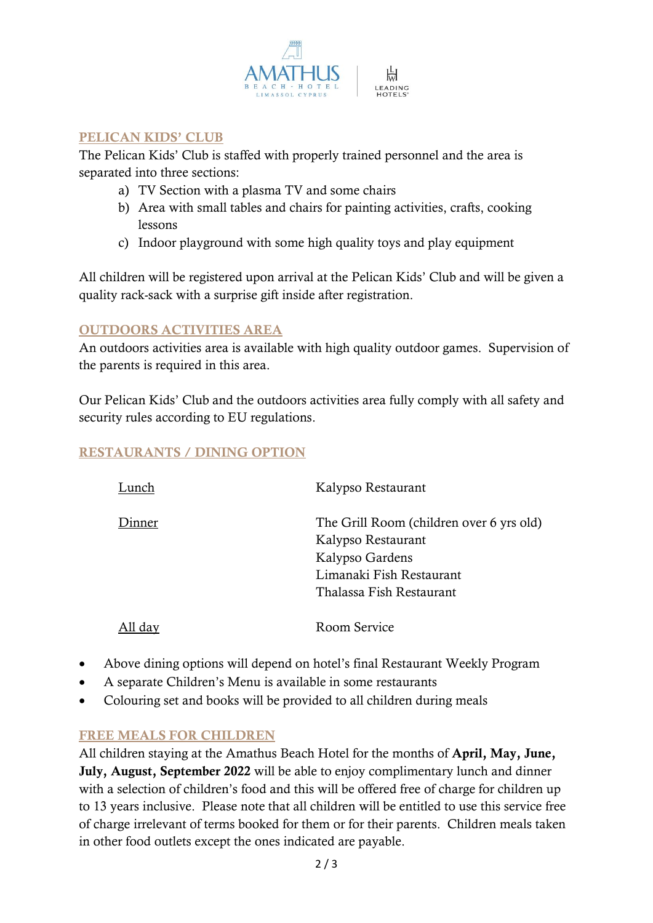

#### PELICAN KIDS' CLUB

The Pelican Kids' Club is staffed with properly trained personnel and the area is separated into three sections:

- a) TV Section with a plasma TV and some chairs
- b) Area with small tables and chairs for painting activities, crafts, cooking lessons
- c) Indoor playground with some high quality toys and play equipment

All children will be registered upon arrival at the Pelican Kids' Club and will be given a quality rack-sack with a surprise gift inside after registration.

#### OUTDOORS ACTIVITIES AREA

An outdoors activities area is available with high quality outdoor games. Supervision of the parents is required in this area.

Our Pelican Kids' Club and the outdoors activities area fully comply with all safety and security rules according to EU regulations.

# RESTAURANTS / DINING OPTION

| Lunch   | Kalypso Restaurant                                                                                                                        |
|---------|-------------------------------------------------------------------------------------------------------------------------------------------|
| inner   | The Grill Room (children over 6 yrs old)<br>Kalypso Restaurant<br>Kalypso Gardens<br>Limanaki Fish Restaurant<br>Thalassa Fish Restaurant |
| All dav | Room Service                                                                                                                              |

- Above dining options will depend on hotel's final Restaurant Weekly Program
- A separate Children's Menu is available in some restaurants
- Colouring set and books will be provided to all children during meals

# FREE MEALS FOR CHILDREN

All children staying at the Amathus Beach Hotel for the months of April, May, June, July, August, September 2022 will be able to enjoy complimentary lunch and dinner with a selection of children's food and this will be offered free of charge for children up to 13 years inclusive. Please note that all children will be entitled to use this service free of charge irrelevant of terms booked for them or for their parents. Children meals taken in other food outlets except the ones indicated are payable.